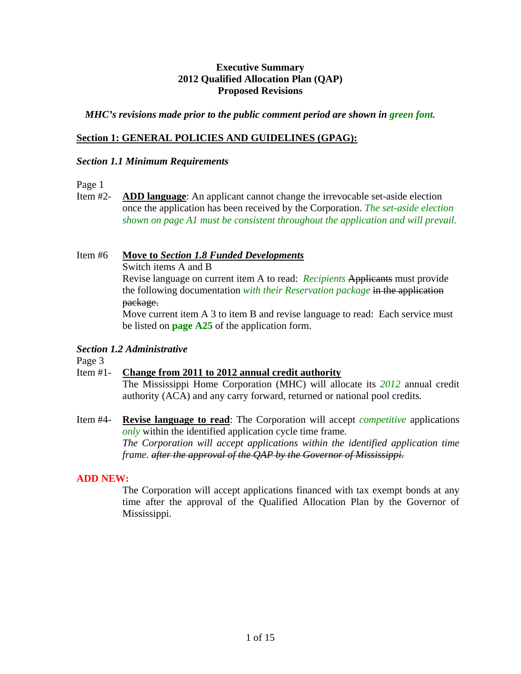### **Executive Summary 2012 Qualified Allocation Plan (QAP) Proposed Revisions**

### *MHC's revisions made prior to the public comment period are shown in green font.*

### **Section 1: GENERAL POLICIES AND GUIDELINES (GPAG):**

#### *Section 1.1 Minimum Requirements*

Page 1

Item #2- **ADD language**: An applicant cannot change the irrevocable set-aside election once the application has been received by the Corporation. *The set-aside election shown on page A1 must be consistent throughout the application and will prevail.* 

Item #6 **Move to** *Section 1.8 Funded Developments*

Switch items A and B

 Revise language on current item A to read: *Recipients* Applicants must provide the following documentation *with their Reservation package* in the application package.

 Move current item A 3 to item B and revise language to read: Each service must be listed on **page A25** of the application form.

#### *Section 1.2 Administrative*

Page 3

# Item #1- **Change from 2011 to 2012 annual credit authority**

The Mississippi Home Corporation (MHC) will allocate its *2012* annual credit authority (ACA) and any carry forward, returned or national pool credits*.* 

Item #4- **Revise language to read**: The Corporation will accept *competitive* applications *only* within the identified application cycle time frame*. The Corporation will accept applications within the identified application time frame. after the approval of the QAP by the Governor of Mississippi.*

# **ADD NEW:**

The Corporation will accept applications financed with tax exempt bonds at any time after the approval of the Qualified Allocation Plan by the Governor of Mississippi.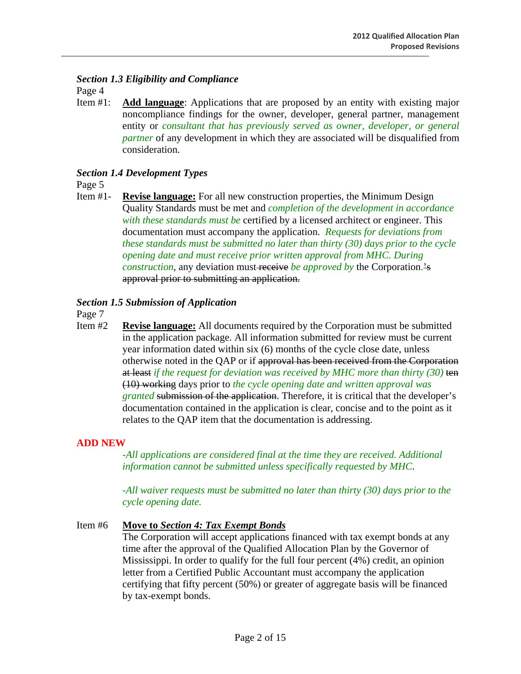*Section 1.3 Eligibility and Compliance* 

Page 4

Item #1: **Add language**: Applications that are proposed by an entity with existing major noncompliance findings for the owner, developer, general partner, management entity or *consultant that has previously served as owner, developer, or general partner* of any development in which they are associated will be disqualified from consideration.

# *Section 1.4 Development Types*

Page 5

Item #1- **Revise language:** For all new construction properties, the Minimum Design Quality Standards must be met and *completion of the development in accordance with these standards must be* certified by a licensed architect or engineer*.* This documentation must accompany the application. *Requests for deviations from these standards must be submitted no later than thirty (30) days prior to the cycle opening date and must receive prior written approval from MHC. During construction*, any deviation must receive *be approved by* the Corporation.<sup>2</sup> approval prior to submitting an application.

### *Section 1.5 Submission of Application*

Page 7

Item #2 **Revise language:** All documents required by the Corporation must be submitted in the application package. All information submitted for review must be current year information dated within six (6) months of the cycle close date, unless otherwise noted in the QAP or if approval has been received from the Corporation at least *if the request for deviation was received by MHC more than thirty (30)* ten (10) working days prior to *the cycle opening date and written approval was granted* submission of the application. Therefore, it is critical that the developer's documentation contained in the application is clear, concise and to the point as it relates to the QAP item that the documentation is addressing.

# **ADD NEW**

*All applications are considered final at the time they are received. Additional information cannot be submitted unless specifically requested by MHC*.

-*All waiver requests must be submitted no later than thirty (30) days prior to the cycle opening date.* 

#### Item #6 **Move to** *Section 4: Tax Exempt Bonds*

The Corporation will accept applications financed with tax exempt bonds at any time after the approval of the Qualified Allocation Plan by the Governor of Mississippi. In order to qualify for the full four percent (4%) credit, an opinion letter from a Certified Public Accountant must accompany the application certifying that fifty percent (50%) or greater of aggregate basis will be financed by tax-exempt bonds.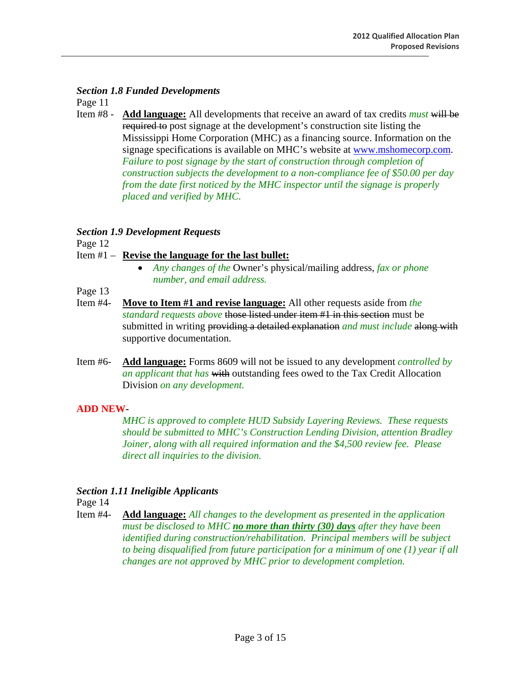#### *Section 1.8 Funded Developments*

Page 11

Item #8 - **Add language:** All developments that receive an award of tax credits *must* will be required to post signage at the development's construction site listing the Mississippi Home Corporation (MHC) as a financing source. Information on the signage specifications is available on MHC's website at www.mshomecorp.com. *Failure to post signage by the start of construction through completion of construction subjects the development to a non-compliance fee of \$50.00 per day from the date first noticed by the MHC inspector until the signage is properly placed and verified by MHC.*

# *Section 1.9 Development Requests*

Page 12

# Item #1 – **Revise the language for the last bullet:**

- *Any changes of the* Owner's physical/mailing address, *fax or phone number, and email address.*
- Page 13
- Item #4- **Move to Item #1 and revise language:** All other requests aside from *the standard requests above* those listed under item #1 in this section must be submitted in writing providing a detailed explanation *and must include* along with supportive documentation.
- Item #6- **Add language:** Forms 8609 will not be issued to any development *controlled by an applicant that has* with outstanding fees owed to the Tax Credit Allocation Division *on any development.*

# **ADD NEW-**

*MHC is approved to complete HUD Subsidy Layering Reviews. These requests should be submitted to MHC's Construction Lending Division, attention Bradley Joiner, along with all required information and the \$4,500 review fee. Please direct all inquiries to the division.* 

# *Section 1.11 Ineligible Applicants*

Page 14

Item #4- **Add language:** *All changes to the development as presented in the application must be disclosed to MHC no more than thirty (30) days after they have been identified during construction/rehabilitation. Principal members will be subject to being disqualified from future participation for a minimum of one (1) year if all changes are not approved by MHC prior to development completion.*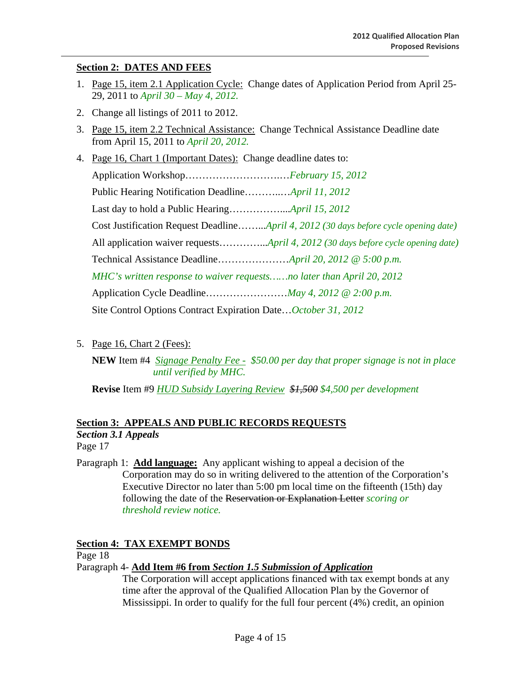# **Section 2: DATES AND FEES**

- 1. Page 15, item 2.1 Application Cycle: Change dates of Application Period from April 25- 29, 2011 to *April 30 – May 4, 2012.*
- 2. Change all listings of 2011 to 2012.
- 3. Page 15, item 2.2 Technical Assistance: Change Technical Assistance Deadline date from April 15, 2011 to *April 20, 2012.*
- 4. Page 16, Chart 1 (Important Dates): Change deadline dates to:

| Application WorkshopFebruary 15, 2012                                                |  |  |  |
|--------------------------------------------------------------------------------------|--|--|--|
|                                                                                      |  |  |  |
|                                                                                      |  |  |  |
| Cost Justification Request DeadlineApril 4, 2012 (30 days before cycle opening date) |  |  |  |
|                                                                                      |  |  |  |
|                                                                                      |  |  |  |
| MHC's written response to waiver requestsno later than April 20, 2012                |  |  |  |
|                                                                                      |  |  |  |
| Site Control Options Contract Expiration DateOctober 31, 2012                        |  |  |  |

5. Page 16, Chart 2 (Fees):

**NEW** Item #4 *Signage Penalty Fee - \$50.00 per day that proper signage is not in place until verified by MHC.*

**Revise** Item #9 *HUD Subsidy Layering Review \$1,500 \$4,500 per development* 

# **Section 3: APPEALS AND PUBLIC RECORDS REQUESTS**

*Section 3.1 Appeals* 

Page 17

Paragraph 1: **Add language:** Any applicant wishing to appeal a decision of the Corporation may do so in writing delivered to the attention of the Corporation's Executive Director no later than 5:00 pm local time on the fifteenth (15th) day following the date of the Reservation or Explanation Letter *scoring or threshold review notice.*

# **Section 4: TAX EXEMPT BONDS**

Page 18

Paragraph 4- **Add Item #6 from** *Section 1.5 Submission of Application*

 The Corporation will accept applications financed with tax exempt bonds at any time after the approval of the Qualified Allocation Plan by the Governor of Mississippi. In order to qualify for the full four percent (4%) credit, an opinion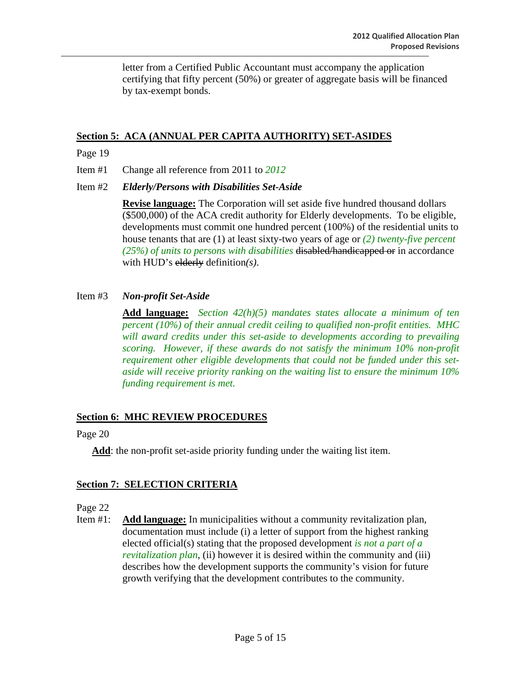letter from a Certified Public Accountant must accompany the application certifying that fifty percent (50%) or greater of aggregate basis will be financed by tax-exempt bonds.

# **Section 5: ACA (ANNUAL PER CAPITA AUTHORITY) SET-ASIDES**

#### Page 19

Item #1 Change all reference from 2011 to *2012*

Item #2 *Elderly/Persons with Disabilities Set-Aside* 

**Revise language:** The Corporation will set aside five hundred thousand dollars (\$500,000) of the ACA credit authority for Elderly developments. To be eligible, developments must commit one hundred percent (100%) of the residential units to house tenants that are (1) at least sixty-two years of age or *(2) twenty-five percent (25%) of units to persons with disabilities* disabled/handicapped or in accordance with HUD's elderly definition*(s)*.

### Item #3 *Non-profit Set-Aside*

**Add language:** *Section 42(h)(5) mandates states allocate a minimum of ten percent (10%) of their annual credit ceiling to qualified non-profit entities. MHC will award credits under this set-aside to developments according to prevailing scoring. However, if these awards do not satisfy the minimum 10% non-profit requirement other eligible developments that could not be funded under this setaside will receive priority ranking on the waiting list to ensure the minimum 10% funding requirement is met.* 

# **Section 6: MHC REVIEW PROCEDURES**

Page 20

**Add**: the non-profit set-aside priority funding under the waiting list item.

# **Section 7: SELECTION CRITERIA**

Page 22

Item #1: **Add language:** In municipalities without a community revitalization plan, documentation must include (i) a letter of support from the highest ranking elected official(s) stating that the proposed development *is not a part of a revitalization plan*, (ii) however it is desired within the community and (iii) describes how the development supports the community's vision for future growth verifying that the development contributes to the community.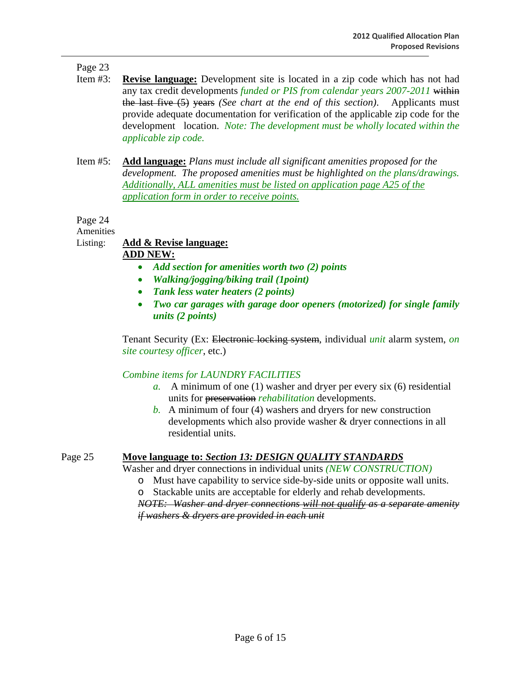# Page 23

- Item #3: **Revise language:** Development site is located in a zip code which has not had any tax credit developments *funded or PIS from calendar years 2007-2011* within the last five (5) years *(See chart at the end of this section)*. Applicants must provide adequate documentation for verification of the applicable zip code for the development location. *Note: The development must be wholly located within the applicable zip code.*
- Item #5: **Add language:** *Plans must include all significant amenities proposed for the development. The proposed amenities must be highlighted on the plans/drawings. Additionally, ALL amenities must be listed on application page A25 of the application form in order to receive points.*

Page 24

Amenities

# Listing: **Add & Revise language:**

### **ADD NEW:**

- *Add section for amenities worth two (2) points*
- *Walking/jogging/biking trail (1point)*
- *Tank less water heaters (2 points)*
- *Two car garages with garage door openers (motorized) for single family units (2 points)*

Tenant Security (Ex: Electronic locking system, individual *unit* alarm system, *on site courtesy officer*, etc.)

# *Combine items for LAUNDRY FACILITIES*

- *a.* A minimum of one (1) washer and dryer per every six (6) residential units for preservation *rehabilitation* developments.
- *b.* A minimum of four (4) washers and dryers for new construction developments which also provide washer & dryer connections in all residential units.

# Page 25 **Move language to:** *Section 13: DESIGN QUALITY STANDARDS*

Washer and dryer connections in individual units *(NEW CONSTRUCTION)*

- o Must have capability to service side-by-side units or opposite wall units.
- o Stackable units are acceptable for elderly and rehab developments.

*NOTE: Washer and dryer connections will not qualify as a separate amenity if washers & dryers are provided in each unit*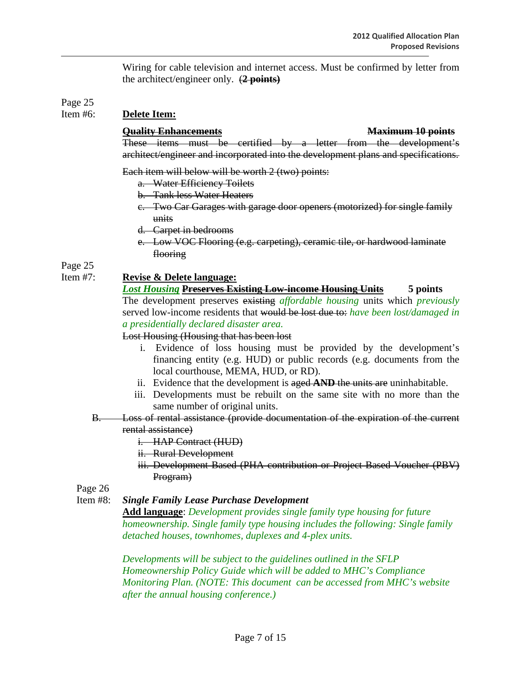Wiring for cable television and internet access. Must be confirmed by letter from the architect/engineer only. (**2 points)**

# Page 25<br>Item #6:

# **Delete Item:**

#### **Quality Enhancements Maximum 10 points**

 These items must be certified by a letter from the development's architect/engineer and incorporated into the development plans and specifications.

Each item will below will be worth 2 (two) points:

- a. Water Efficiency Toilets
- b. Tank less Water Heaters
- c. Two Car Garages with garage door openers (motorized) for single family units
- d. Carpet in bedrooms
- e. Low VOC Flooring (e.g. carpeting), ceramic tile, or hardwood laminate flooring

Page 25

## Item #7: **Revise & Delete language:**

# *Lost Housing* **Preserves Existing Low-income Housing Units 5 points**

The development preserves existing *affordable housing* units which *previously*  served low-income residents that would be lost due to: *have been lost/damaged in a presidentially declared disaster area.* 

Lost Housing (Housing that has been lost

- i. Evidence of loss housing must be provided by the development's financing entity (e.g. HUD) or public records (e.g. documents from the local courthouse, MEMA, HUD, or RD).
- ii. Evidence that the development is aged **AND** the units are uninhabitable.
- iii. Developments must be rebuilt on the same site with no more than the same number of original units.
- B. Loss of rental assistance (provide documentation of the expiration of the current

# rental assistance)

- i. HAP Contract (HUD)
- ii. Rural Development
- iii. Development Based (PHA contribution or Project Based Voucher (PBV) Program)

Page 26

Item #8: *Single Family Lease Purchase Development* 

**Add language**: *Development provides single family type housing for future homeownership. Single family type housing includes the following: Single family detached houses, townhomes, duplexes and 4-plex units.* 

*Developments will be subject to the guidelines outlined in the SFLP Homeownership Policy Guide which will be added to MHC's Compliance Monitoring Plan. (NOTE: This document can be accessed from MHC's website after the annual housing conference.)*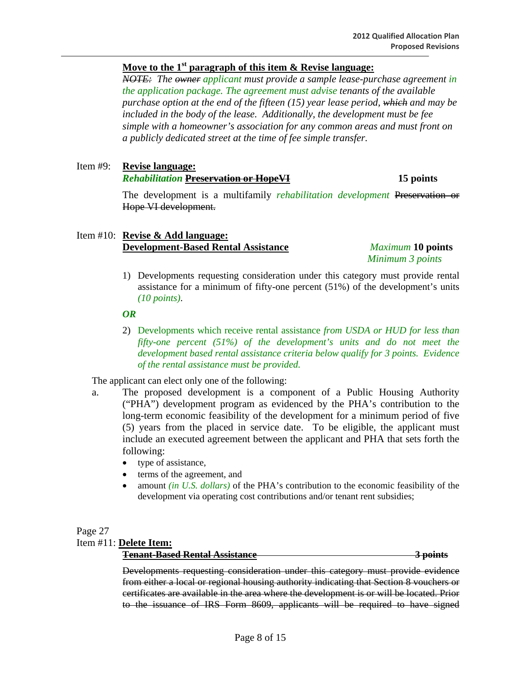## **Move to the 1st paragraph of this item & Revise language:**

 *NOTE: The owner applicant must provide a sample lease-purchase agreement in the application package. The agreement must advise tenants of the available purchase option at the end of the fifteen (15) year lease period, which and may be included in the body of the lease. Additionally, the development must be fee simple with a homeowner's association for any common areas and must front on a publicly dedicated street at the time of fee simple transfer.*

#### Item #9: **Revise language:** *Rehabilitation Preservation or HopeVI* **15 points**

The development is a multifamily *rehabilitation development* Preservation or Hope VI development.

#### Item #10: **Revise & Add language: Development-Based Rental Assistance** *Maximum* **10 points**

*Minimum 3 points* 

1) Developments requesting consideration under this category must provide rental assistance for a minimum of fifty-one percent (51%) of the development's units *(10 points)*.

#### *OR*

2) Developments which receive rental assistance *from USDA or HUD for less than fifty-one percent (51%) of the development's units and do not meet the development based rental assistance criteria below qualify for 3 points. Evidence of the rental assistance must be provided.* 

The applicant can elect only one of the following:

- a. The proposed development is a component of a Public Housing Authority ("PHA") development program as evidenced by the PHA's contribution to the long-term economic feasibility of the development for a minimum period of five (5) years from the placed in service date. To be eligible, the applicant must include an executed agreement between the applicant and PHA that sets forth the following:
	- type of assistance,
	- terms of the agreement, and
	- amount *(in U.S. dollars)* of the PHA's contribution to the economic feasibility of the development via operating cost contributions and/or tenant rent subsidies;

#### Page 27

#### Item #11: **Delete Item:**

**Tenant-Based Rental Assistance 3 points**

Developments requesting consideration under this category must provide evidence from either a local or regional housing authority indicating that Section 8 vouchers or certificates are available in the area where the development is or will be located. Prior to the issuance of IRS Form 8609, applicants will be required to have signed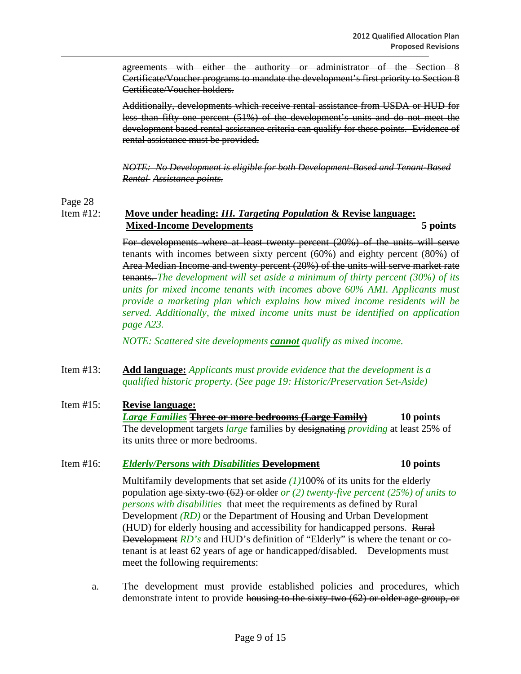agreements with either the authority or administrator of the Section 8 Certificate/Voucher programs to mandate the development's first priority to Section 8 Certificate/Voucher holders.

Additionally, developments which receive rental assistance from USDA or HUD for less than fifty one percent (51%) of the development's units and do not meet the development based rental assistance criteria can qualify for these points. Evidence of rental assistance must be provided.

*NOTE: No Development is eligible for both Development-Based and Tenant-Based Rental Assistance points.*

Page 28

Item #12: **Move under heading:** *III. Targeting Population* **& Revise language: Mixed-Income Developments 5 points**

> For developments where at least twenty percent (20%) of the units will serve tenants with incomes between sixty percent (60%) and eighty percent (80%) of Area Median Income and twenty percent (20%) of the units will serve market rate tenants. *The development will set aside a minimum of thirty percent (30%) of its units for mixed income tenants with incomes above 60% AMI. Applicants must provide a marketing plan which explains how mixed income residents will be served. Additionally, the mixed income units must be identified on application page A23.*

*NOTE: Scattered site developments cannot qualify as mixed income.* 

Item #13: **Add language:** *Applicants must provide evidence that the development is a qualified historic property. (See page 19: Historic/Preservation Set-Aside)*

#### Item #15: **Revise language:** *Large Families* **Three or more bedrooms (Large Family) 10 points** The development targets *large* families by designating *providing* at least 25% of its units three or more bedrooms.

#### Item #16: *Elderly/Persons with Disabilities* **Development 10 points**

Multifamily developments that set aside *(1)*100% of its units for the elderly population age sixty-two (62) or older *or (2) twenty-five percent (25%) of units to persons with disabilities* that meet the requirements as defined by Rural Development *(RD)* or the Department of Housing and Urban Development (HUD) for elderly housing and accessibility for handicapped persons. Rural Development *RD's* and HUD's definition of "Elderly" is where the tenant or cotenant is at least 62 years of age or handicapped/disabled. Developments must meet the following requirements:

a. The development must provide established policies and procedures, which demonstrate intent to provide housing to the sixty-two (62) or older age group, or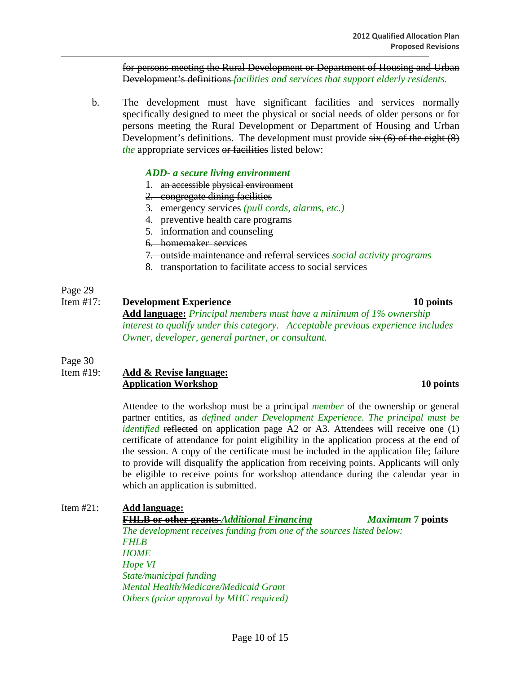for persons meeting the Rural Development or Department of Housing and Urban Development's definitions *facilities and services that support elderly residents.*

b. The development must have significant facilities and services normally specifically designed to meet the physical or social needs of older persons or for persons meeting the Rural Development or Department of Housing and Urban Development's definitions. The development must provide  $six(6)$  of the eight  $(8)$ *the* appropriate services or facilities listed below:

#### *ADD- a secure living environment*

- 1. an accessible physical environment
- 2. congregate dining facilities
- 3. emergency services *(pull cords, alarms, etc.)*
- 4. preventive health care programs
- 5. information and counseling
- 6. homemaker services
- 7. outside maintenance and referral services *social activity programs*
- 8. transportation to facilitate access to social services

### Page 29

#### Item #17: **Development Experience 10 points**

**Add language:** *Principal members must have a minimum of 1% ownership interest to qualify under this category. Acceptable previous experience includes Owner, developer, general partner, or consultant.* 

Page 30

#### Item #19: **Add & Revise language: Application Workshop 10 points**

Attendee to the workshop must be a principal *member* of the ownership or general partner entities, as *defined under Development Experience. The principal must be identified* reflected on application page A2 or A3. Attendees will receive one (1) certificate of attendance for point eligibility in the application process at the end of the session. A copy of the certificate must be included in the application file; failure to provide will disqualify the application from receiving points. Applicants will only be eligible to receive points for workshop attendance during the calendar year in which an application is submitted.

| Item $#21$ : | Add language:                                                          |                         |  |
|--------------|------------------------------------------------------------------------|-------------------------|--|
|              | <b>FHLB or other grants Additional Financing</b>                       | <i>Maximum</i> 7 points |  |
|              | The development receives funding from one of the sources listed below: |                         |  |
|              | <b>FHLB</b>                                                            |                         |  |
|              | <b>HOME</b>                                                            |                         |  |
|              | Hope VI                                                                |                         |  |
|              | State/municipal funding                                                |                         |  |
|              | <b>Mental Health/Medicare/Medicaid Grant</b>                           |                         |  |
|              | Others (prior approval by MHC required)                                |                         |  |
|              |                                                                        |                         |  |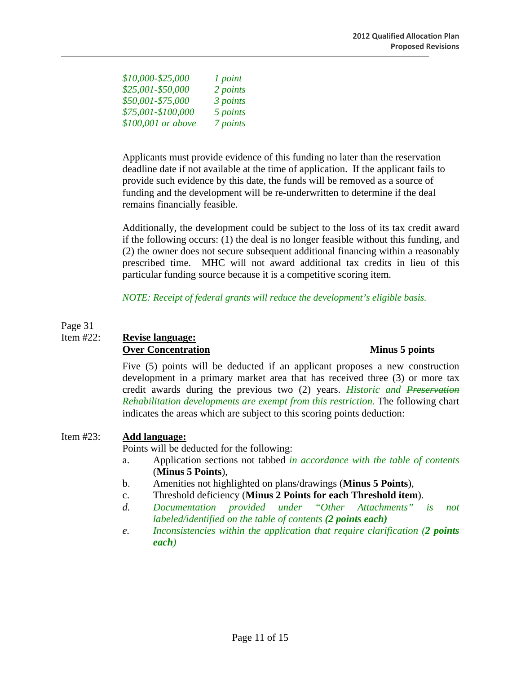*\$10,000-\$25,000 1 point \$25,001-\$50,000 2 points \$50,001-\$75,000 3 points \$75,001-\$100,000 5 points \$100,001 or above 7 points* 

Applicants must provide evidence of this funding no later than the reservation deadline date if not available at the time of application. If the applicant fails to provide such evidence by this date, the funds will be removed as a source of funding and the development will be re-underwritten to determine if the deal remains financially feasible.

Additionally, the development could be subject to the loss of its tax credit award if the following occurs: (1) the deal is no longer feasible without this funding, and (2) the owner does not secure subsequent additional financing within a reasonably prescribed time. MHC will not award additional tax credits in lieu of this particular funding source because it is a competitive scoring item.

 *NOTE: Receipt of federal grants will reduce the development's eligible basis.* 

### Page 31

# Item #22: **Revise language: Over Concentration Minus 5 points**

Five (5) points will be deducted if an applicant proposes a new construction development in a primary market area that has received three (3) or more tax credit awards during the previous two (2) years. *Historic and Preservation Rehabilitation developments are exempt from this restriction.* The following chart indicates the areas which are subject to this scoring points deduction:

# Item #23: **Add language:**

Points will be deducted for the following:

- a. Application sections not tabbed *in accordance with the table of contents* (**Minus 5 Points**),
- b. Amenities not highlighted on plans/drawings (**Minus 5 Points**),
- c. Threshold deficiency (**Minus 2 Points for each Threshold item**).
- *d. Documentation provided under "Other Attachments" is not labeled/identified on the table of contents (2 points each)*
- *e. Inconsistencies within the application that require clarification (2 points each)*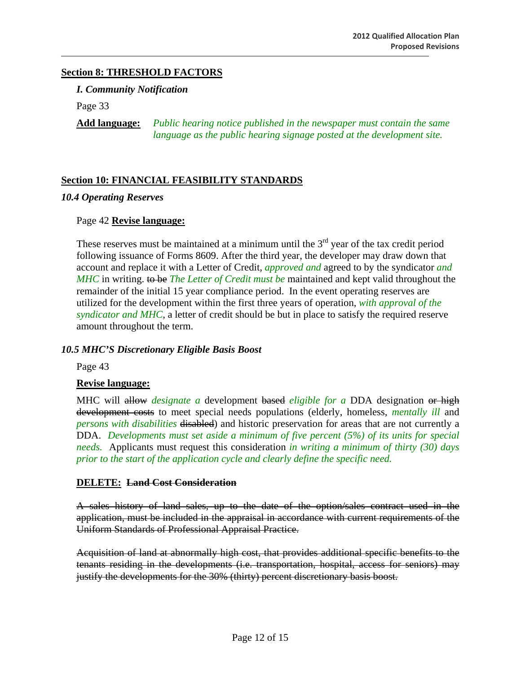## **Section 8: THRESHOLD FACTORS**

*I. Community Notification* 

Page 33

**Add language:** *Public hearing notice published in the newspaper must contain the same language as the public hearing signage posted at the development site.*

### **Section 10: FINANCIAL FEASIBILITY STANDARDS**

#### *10.4 Operating Reserves*

#### Page 42 **Revise language:**

These reserves must be maintained at a minimum until the  $3<sup>rd</sup>$  year of the tax credit period following issuance of Forms 8609. After the third year, the developer may draw down that account and replace it with a Letter of Credit, *approved and* agreed to by the syndicator *and MHC* in writing. to be *The Letter of Credit must be* maintained and kept valid throughout the remainder of the initial 15 year compliance period. In the event operating reserves are utilized for the development within the first three years of operation, *with approval of the syndicator and MHC*, a letter of credit should be but in place to satisfy the required reserve amount throughout the term.

#### *10.5 MHC'S Discretionary Eligible Basis Boost*

Page 43

#### **Revise language:**

MHC will allow *designate a* development based *eligible for a* DDA designation or high development costs to meet special needs populations (elderly, homeless, *mentally ill* and *persons with disabilities* disabled) and historic preservation for areas that are not currently a DDA. *Developments must set aside a minimum of five percent (5%) of its units for special needs.* Applicants must request this consideration *in writing a minimum of thirty (30) days prior to the start of the application cycle and clearly define the specific need.* 

#### **DELETE: Land Cost Consideration**

A sales history of land sales, up to the date of the option/sales contract used in the application, must be included in the appraisal in accordance with current requirements of the Uniform Standards of Professional Appraisal Practice.

Acquisition of land at abnormally high cost, that provides additional specific benefits to the tenants residing in the developments (i.e. transportation, hospital, access for seniors) may justify the developments for the 30% (thirty) percent discretionary basis boost.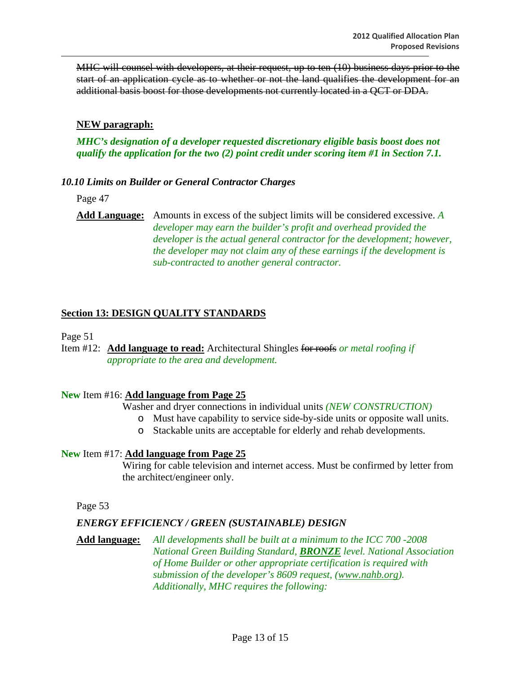MHC will counsel with developers, at their request, up to ten (10) business days prior to the start of an application cycle as to whether or not the land qualifies the development for an additional basis boost for those developments not currently located in a QCT or DDA.

#### **NEW paragraph:**

### *MHC's designation of a developer requested discretionary eligible basis boost does not qualify the application for the two (2) point credit under scoring item #1 in Section 7.1.*

#### *10.10 Limits on Builder or General Contractor Charges*

Page 47

**Add Language:** Amounts in excess of the subject limits will be considered excessive. *A developer may earn the builder's profit and overhead provided the developer is the actual general contractor for the development; however, the developer may not claim any of these earnings if the development is sub-contracted to another general contractor.* 

### **Section 13: DESIGN QUALITY STANDARDS**

Page 51

Item #12: **Add language to read:** Architectural Shingles for roofs *or metal roofing if appropriate to the area and development.* 

#### **New** Item #16: **Add language from Page 25**

Washer and dryer connections in individual units *(NEW CONSTRUCTION)*

- o Must have capability to service side-by-side units or opposite wall units.
- o Stackable units are acceptable for elderly and rehab developments.

#### **New** Item #17: **Add language from Page 25**

 Wiring for cable television and internet access. Must be confirmed by letter from the architect/engineer only.

Page 53

#### *ENERGY EFFICIENCY / GREEN (SUSTAINABLE) DESIGN*

**Add language:** *All developments shall be built at a minimum to the ICC 700 -2008 National Green Building Standard, BRONZE level. National Association of Home Builder or other appropriate certification is required with submission of the developer's 8609 request, (www.nahb.org). Additionally, MHC requires the following:*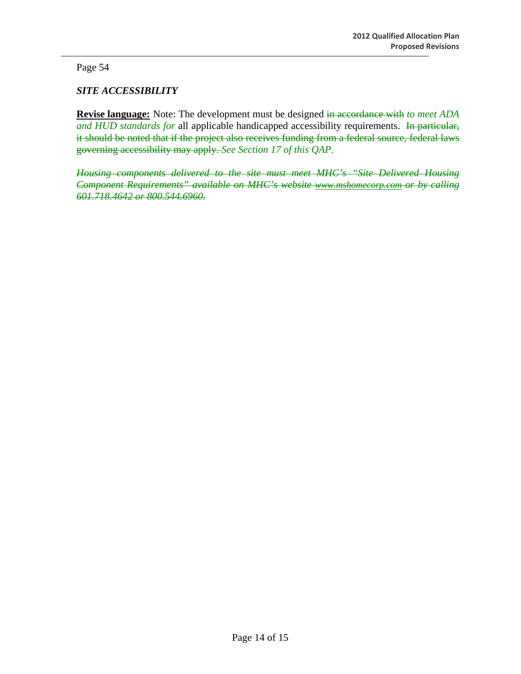Page 54

# *SITE ACCESSIBILITY*

**Revise language:** Note: The development must be designed in accordance with *to meet ADA*  and HUD standards for all applicable handicapped accessibility requirements. In particular, it should be noted that if the project also receives funding from a federal source, federal laws governing accessibility may apply. *See Section 17 of this QAP*.

*Housing components delivered to the site must meet MHC's "Site Delivered Housing Component Requirements" available on MHC's website www.mshomecorp.com or by calling 601.718.4642 or 800.544.6960.*